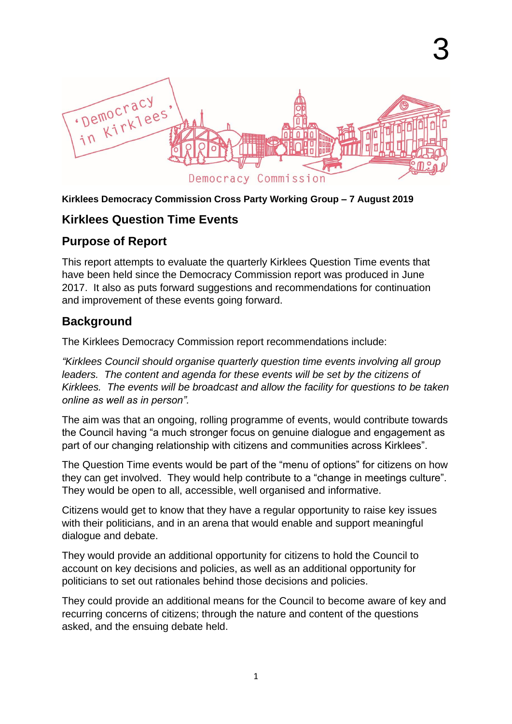

#### **Kirklees Democracy Commission Cross Party Working Group – 7 August 2019**

### **Kirklees Question Time Events**

### **Purpose of Report**

This report attempts to evaluate the quarterly Kirklees Question Time events that have been held since the Democracy Commission report was produced in June 2017. It also as puts forward suggestions and recommendations for continuation and improvement of these events going forward.

# **Background**

The Kirklees Democracy Commission report recommendations include:

*"Kirklees Council should organise quarterly question time events involving all group leaders. The content and agenda for these events will be set by the citizens of Kirklees. The events will be broadcast and allow the facility for questions to be taken online as well as in person".*

The aim was that an ongoing, rolling programme of events, would contribute towards the Council having "a much stronger focus on genuine dialogue and engagement as part of our changing relationship with citizens and communities across Kirklees".

The Question Time events would be part of the "menu of options" for citizens on how they can get involved. They would help contribute to a "change in meetings culture". They would be open to all, accessible, well organised and informative.

Citizens would get to know that they have a regular opportunity to raise key issues with their politicians, and in an arena that would enable and support meaningful dialogue and debate.

They would provide an additional opportunity for citizens to hold the Council to account on key decisions and policies, as well as an additional opportunity for politicians to set out rationales behind those decisions and policies.

They could provide an additional means for the Council to become aware of key and recurring concerns of citizens; through the nature and content of the questions asked, and the ensuing debate held.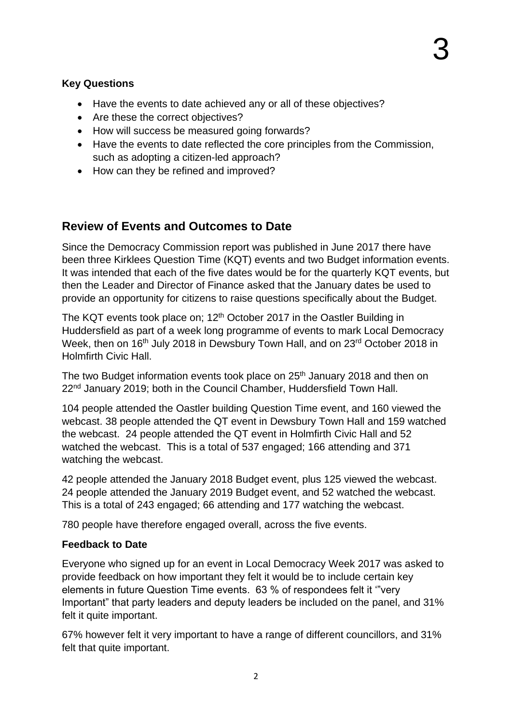### **Key Questions**

- Have the events to date achieved any or all of these objectives?
- Are these the correct objectives?
- How will success be measured going forwards?
- Have the events to date reflected the core principles from the Commission, such as adopting a citizen-led approach?
- How can they be refined and improved?

# **Review of Events and Outcomes to Date**

Since the Democracy Commission report was published in June 2017 there have been three Kirklees Question Time (KQT) events and two Budget information events. It was intended that each of the five dates would be for the quarterly KQT events, but then the Leader and Director of Finance asked that the January dates be used to provide an opportunity for citizens to raise questions specifically about the Budget.

The KQT events took place on; 12<sup>th</sup> October 2017 in the Oastler Building in Huddersfield as part of a week long programme of events to mark Local Democracy Week, then on 16<sup>th</sup> July 2018 in Dewsbury Town Hall, and on 23<sup>rd</sup> October 2018 in Holmfirth Civic Hall.

The two Budget information events took place on 25<sup>th</sup> January 2018 and then on 22<sup>nd</sup> January 2019; both in the Council Chamber, Huddersfield Town Hall.

104 people attended the Oastler building Question Time event, and 160 viewed the webcast. 38 people attended the QT event in Dewsbury Town Hall and 159 watched the webcast. 24 people attended the QT event in Holmfirth Civic Hall and 52 watched the webcast. This is a total of 537 engaged; 166 attending and 371 watching the webcast.

42 people attended the January 2018 Budget event, plus 125 viewed the webcast. 24 people attended the January 2019 Budget event, and 52 watched the webcast. This is a total of 243 engaged; 66 attending and 177 watching the webcast.

780 people have therefore engaged overall, across the five events.

#### **Feedback to Date**

Everyone who signed up for an event in Local Democracy Week 2017 was asked to provide feedback on how important they felt it would be to include certain key elements in future Question Time events. 63 % of respondees felt it '"very Important" that party leaders and deputy leaders be included on the panel, and 31% felt it quite important.

67% however felt it very important to have a range of different councillors, and 31% felt that quite important.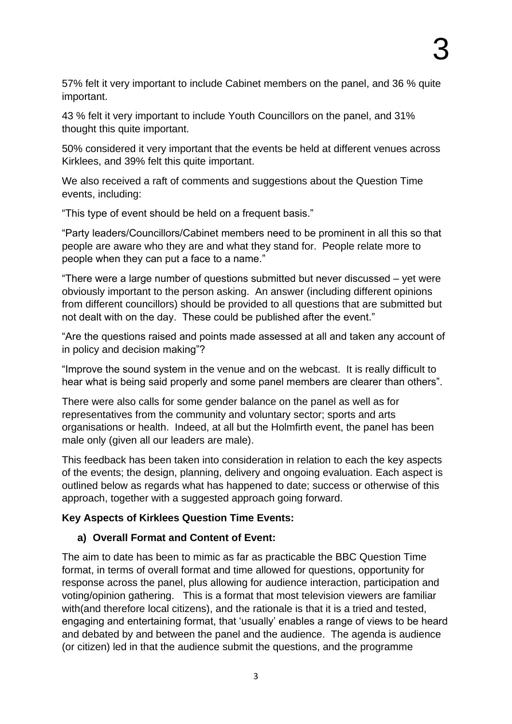57% felt it very important to include Cabinet members on the panel, and 36 % quite important.

43 % felt it very important to include Youth Councillors on the panel, and 31% thought this quite important.

50% considered it very important that the events be held at different venues across Kirklees, and 39% felt this quite important.

We also received a raft of comments and suggestions about the Question Time events, including:

"This type of event should be held on a frequent basis."

"Party leaders/Councillors/Cabinet members need to be prominent in all this so that people are aware who they are and what they stand for. People relate more to people when they can put a face to a name."

"There were a large number of questions submitted but never discussed – yet were obviously important to the person asking. An answer (including different opinions from different councillors) should be provided to all questions that are submitted but not dealt with on the day. These could be published after the event."

"Are the questions raised and points made assessed at all and taken any account of in policy and decision making"?

"Improve the sound system in the venue and on the webcast. It is really difficult to hear what is being said properly and some panel members are clearer than others".

There were also calls for some gender balance on the panel as well as for representatives from the community and voluntary sector; sports and arts organisations or health. Indeed, at all but the Holmfirth event, the panel has been male only (given all our leaders are male).

This feedback has been taken into consideration in relation to each the key aspects of the events; the design, planning, delivery and ongoing evaluation. Each aspect is outlined below as regards what has happened to date; success or otherwise of this approach, together with a suggested approach going forward.

#### **Key Aspects of Kirklees Question Time Events:**

#### **a) Overall Format and Content of Event:**

The aim to date has been to mimic as far as practicable the BBC Question Time format, in terms of overall format and time allowed for questions, opportunity for response across the panel, plus allowing for audience interaction, participation and voting/opinion gathering. This is a format that most television viewers are familiar with(and therefore local citizens), and the rationale is that it is a tried and tested, engaging and entertaining format, that 'usually' enables a range of views to be heard and debated by and between the panel and the audience. The agenda is audience (or citizen) led in that the audience submit the questions, and the programme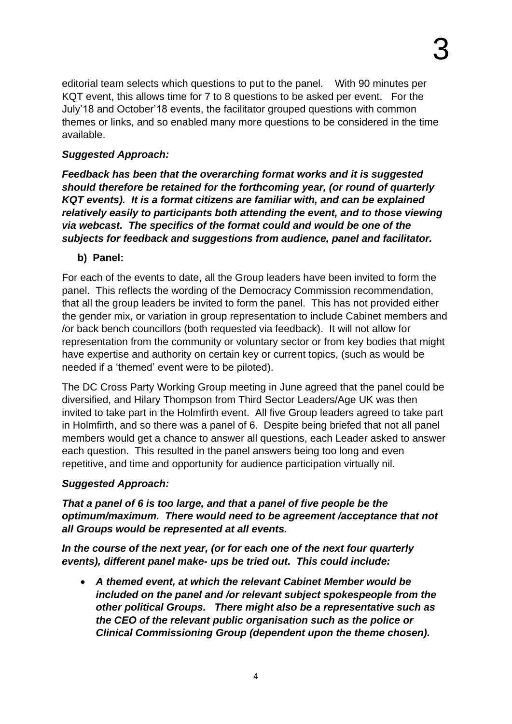editorial team selects which questions to put to the panel. With 90 minutes per KQT event, this allows time for 7 to 8 questions to be asked per event. For the July'18 and October'18 events, the facilitator grouped questions with common themes or links, and so enabled many more questions to be considered in the time available.

#### *Suggested Approach:*

*Feedback has been that the overarching format works and it is suggested should therefore be retained for the forthcoming year, (or round of quarterly KQT events). It is a format citizens are familiar with, and can be explained relatively easily to participants both attending the event, and to those viewing via webcast. The specifics of the format could and would be one of the subjects for feedback and suggestions from audience, panel and facilitator.* 

### **b) Panel:**

For each of the events to date, all the Group leaders have been invited to form the panel. This reflects the wording of the Democracy Commission recommendation, that all the group leaders be invited to form the panel. This has not provided either the gender mix, or variation in group representation to include Cabinet members and /or back bench councillors (both requested via feedback). It will not allow for representation from the community or voluntary sector or from key bodies that might have expertise and authority on certain key or current topics, (such as would be needed if a 'themed' event were to be piloted).

The DC Cross Party Working Group meeting in June agreed that the panel could be diversified, and Hilary Thompson from Third Sector Leaders/Age UK was then invited to take part in the Holmfirth event. All five Group leaders agreed to take part in Holmfirth, and so there was a panel of 6. Despite being briefed that not all panel members would get a chance to answer all questions, each Leader asked to answer each question. This resulted in the panel answers being too long and even repetitive, and time and opportunity for audience participation virtually nil.

#### *Suggested Approach:*

*That a panel of 6 is too large, and that a panel of five people be the optimum/maximum. There would need to be agreement /acceptance that not all Groups would be represented at all events.* 

*In the course of the next year, (or for each one of the next four quarterly events), different panel make- ups be tried out. This could include:*

 *A themed event, at which the relevant Cabinet Member would be included on the panel and /or relevant subject spokespeople from the other political Groups. There might also be a representative such as the CEO of the relevant public organisation such as the police or Clinical Commissioning Group (dependent upon the theme chosen).*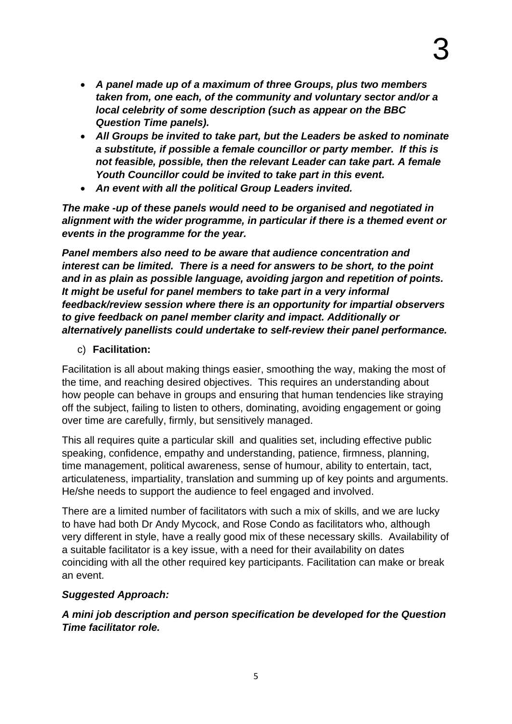- *A panel made up of a maximum of three Groups, plus two members taken from, one each, of the community and voluntary sector and/or a local celebrity of some description (such as appear on the BBC Question Time panels).*
- *All Groups be invited to take part, but the Leaders be asked to nominate a substitute, if possible a female councillor or party member. If this is not feasible, possible, then the relevant Leader can take part. A female Youth Councillor could be invited to take part in this event.*
- *An event with all the political Group Leaders invited.*

*The make -up of these panels would need to be organised and negotiated in alignment with the wider programme, in particular if there is a themed event or events in the programme for the year.* 

*Panel members also need to be aware that audience concentration and interest can be limited. There is a need for answers to be short, to the point and in as plain as possible language, avoiding jargon and repetition of points. It might be useful for panel members to take part in a very informal feedback/review session where there is an opportunity for impartial observers to give feedback on panel member clarity and impact. Additionally or alternatively panellists could undertake to self-review their panel performance.*

#### c) **Facilitation:**

Facilitation is all about making things easier, smoothing the way, making the most of the time, and reaching desired objectives. This requires an understanding about how people can behave in groups and ensuring that human tendencies like straying off the subject, failing to listen to others, dominating, avoiding engagement or going over time are carefully, firmly, but sensitively managed.

This all requires quite a particular skill and qualities set, including effective public speaking, confidence, empathy and understanding, patience, firmness, planning, time management, political awareness, sense of humour, ability to entertain, tact, articulateness, impartiality, translation and summing up of key points and arguments. He/she needs to support the audience to feel engaged and involved.

There are a limited number of facilitators with such a mix of skills, and we are lucky to have had both Dr Andy Mycock, and Rose Condo as facilitators who, although very different in style, have a really good mix of these necessary skills. Availability of a suitable facilitator is a key issue, with a need for their availability on dates coinciding with all the other required key participants. Facilitation can make or break an event.

#### *Suggested Approach:*

*A mini job description and person specification be developed for the Question Time facilitator role.*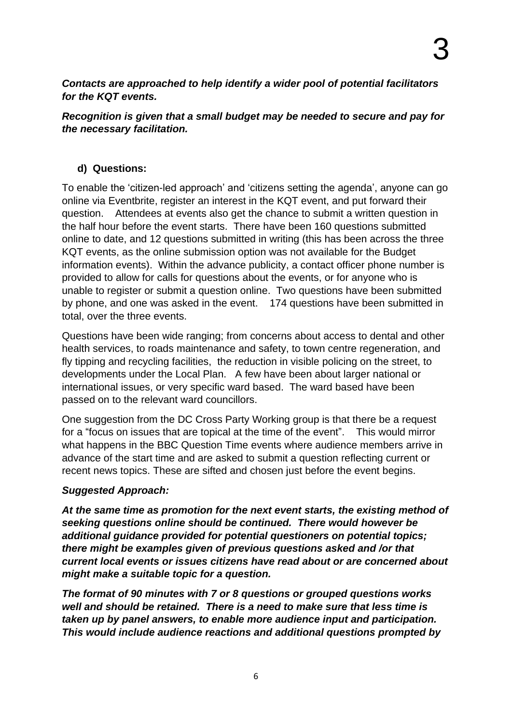*Contacts are approached to help identify a wider pool of potential facilitators for the KQT events.* 

#### *Recognition is given that a small budget may be needed to secure and pay for the necessary facilitation.*

### **d) Questions:**

To enable the 'citizen-led approach' and 'citizens setting the agenda', anyone can go online via Eventbrite, register an interest in the KQT event, and put forward their question. Attendees at events also get the chance to submit a written question in the half hour before the event starts. There have been 160 questions submitted online to date, and 12 questions submitted in writing (this has been across the three KQT events, as the online submission option was not available for the Budget information events). Within the advance publicity, a contact officer phone number is provided to allow for calls for questions about the events, or for anyone who is unable to register or submit a question online. Two questions have been submitted by phone, and one was asked in the event. 174 questions have been submitted in total, over the three events.

Questions have been wide ranging; from concerns about access to dental and other health services, to roads maintenance and safety, to town centre regeneration, and fly tipping and recycling facilities, the reduction in visible policing on the street, to developments under the Local Plan. A few have been about larger national or international issues, or very specific ward based. The ward based have been passed on to the relevant ward councillors.

One suggestion from the DC Cross Party Working group is that there be a request for a "focus on issues that are topical at the time of the event". This would mirror what happens in the BBC Question Time events where audience members arrive in advance of the start time and are asked to submit a question reflecting current or recent news topics. These are sifted and chosen just before the event begins.

#### *Suggested Approach:*

*At the same time as promotion for the next event starts, the existing method of seeking questions online should be continued. There would however be additional guidance provided for potential questioners on potential topics; there might be examples given of previous questions asked and /or that current local events or issues citizens have read about or are concerned about might make a suitable topic for a question.*

*The format of 90 minutes with 7 or 8 questions or grouped questions works well and should be retained. There is a need to make sure that less time is taken up by panel answers, to enable more audience input and participation. This would include audience reactions and additional questions prompted by*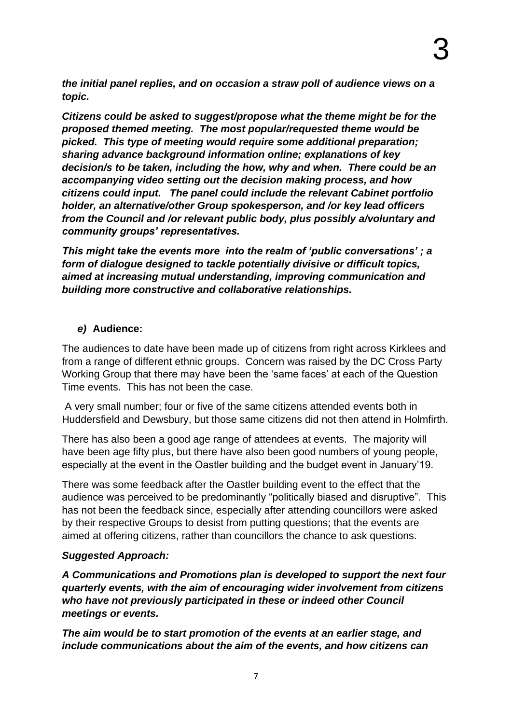*the initial panel replies, and on occasion a straw poll of audience views on a topic.*

*Citizens could be asked to suggest/propose what the theme might be for the proposed themed meeting. The most popular/requested theme would be picked. This type of meeting would require some additional preparation; sharing advance background information online; explanations of key decision/s to be taken, including the how, why and when. There could be an accompanying video setting out the decision making process, and how citizens could input. The panel could include the relevant Cabinet portfolio holder, an alternative/other Group spokesperson, and /or key lead officers from the Council and /or relevant public body, plus possibly a/voluntary and community groups' representatives.* 

*This might take the events more into the realm of 'public conversations' ; a form of dialogue designed to tackle potentially divisive or difficult topics, aimed at increasing mutual understanding, improving communication and building more constructive and collaborative relationships.* 

#### *e)* **Audience:**

The audiences to date have been made up of citizens from right across Kirklees and from a range of different ethnic groups. Concern was raised by the DC Cross Party Working Group that there may have been the 'same faces' at each of the Question Time events. This has not been the case.

A very small number; four or five of the same citizens attended events both in Huddersfield and Dewsbury, but those same citizens did not then attend in Holmfirth.

There has also been a good age range of attendees at events. The majority will have been age fifty plus, but there have also been good numbers of young people, especially at the event in the Oastler building and the budget event in January'19.

There was some feedback after the Oastler building event to the effect that the audience was perceived to be predominantly "politically biased and disruptive". This has not been the feedback since, especially after attending councillors were asked by their respective Groups to desist from putting questions; that the events are aimed at offering citizens, rather than councillors the chance to ask questions.

#### *Suggested Approach:*

*A Communications and Promotions plan is developed to support the next four quarterly events, with the aim of encouraging wider involvement from citizens who have not previously participated in these or indeed other Council meetings or events.* 

*The aim would be to start promotion of the events at an earlier stage, and include communications about the aim of the events, and how citizens can*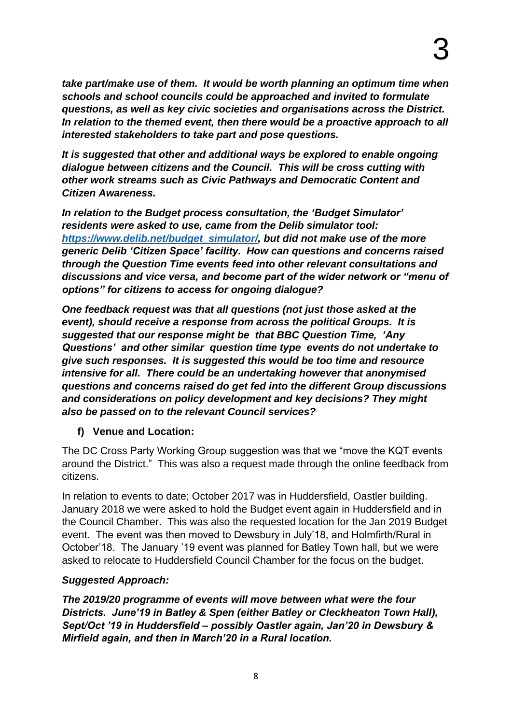*take part/make use of them. It would be worth planning an optimum time when schools and school councils could be approached and invited to formulate questions, as well as key civic societies and organisations across the District. In relation to the themed event, then there would be a proactive approach to all interested stakeholders to take part and pose questions.* 

*It is suggested that other and additional ways be explored to enable ongoing dialogue between citizens and the Council. This will be cross cutting with other work streams such as Civic Pathways and Democratic Content and Citizen Awareness.* 

*In relation to the Budget process consultation, the 'Budget Simulator' residents were asked to use, came from the Delib simulator tool: [https://www.delib.net/budget\\_simulator/,](https://www.delib.net/budget_simulator/) but did not make use of the more generic Delib 'Citizen Space' facility. How can questions and concerns raised through the Question Time events feed into other relevant consultations and discussions and vice versa, and become part of the wider network or "menu of options" for citizens to access for ongoing dialogue?* 

*One feedback request was that all questions (not just those asked at the event), should receive a response from across the political Groups. It is suggested that our response might be that BBC Question Time, 'Any Questions' and other similar question time type events do not undertake to give such responses. It is suggested this would be too time and resource intensive for all. There could be an undertaking however that anonymised questions and concerns raised do get fed into the different Group discussions and considerations on policy development and key decisions? They might also be passed on to the relevant Council services?* 

#### **f) Venue and Location:**

The DC Cross Party Working Group suggestion was that we "move the KQT events around the District." This was also a request made through the online feedback from citizens.

In relation to events to date; October 2017 was in Huddersfield, Oastler building. January 2018 we were asked to hold the Budget event again in Huddersfield and in the Council Chamber. This was also the requested location for the Jan 2019 Budget event. The event was then moved to Dewsbury in July'18, and Holmfirth/Rural in October'18. The January '19 event was planned for Batley Town hall, but we were asked to relocate to Huddersfield Council Chamber for the focus on the budget.

### *Suggested Approach:*

*The 2019/20 programme of events will move between what were the four Districts. June'19 in Batley & Spen (either Batley or Cleckheaton Town Hall), Sept/Oct '19 in Huddersfield – possibly Oastler again, Jan'20 in Dewsbury & Mirfield again, and then in March'20 in a Rural location.*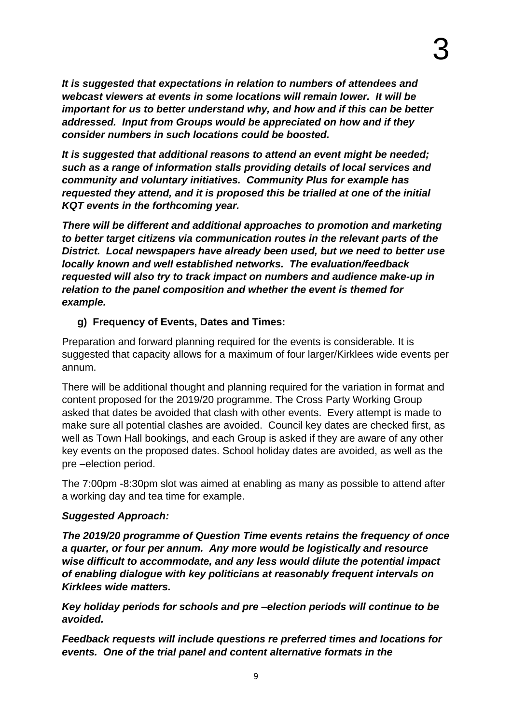*It is suggested that expectations in relation to numbers of attendees and webcast viewers at events in some locations will remain lower. It will be important for us to better understand why, and how and if this can be better addressed. Input from Groups would be appreciated on how and if they consider numbers in such locations could be boosted.* 

*It is suggested that additional reasons to attend an event might be needed; such as a range of information stalls providing details of local services and community and voluntary initiatives. Community Plus for example has requested they attend, and it is proposed this be trialled at one of the initial KQT events in the forthcoming year.* 

*There will be different and additional approaches to promotion and marketing to better target citizens via communication routes in the relevant parts of the District. Local newspapers have already been used, but we need to better use locally known and well established networks. The evaluation/feedback requested will also try to track impact on numbers and audience make-up in relation to the panel composition and whether the event is themed for example.* 

### **g) Frequency of Events, Dates and Times:**

Preparation and forward planning required for the events is considerable. It is suggested that capacity allows for a maximum of four larger/Kirklees wide events per annum.

There will be additional thought and planning required for the variation in format and content proposed for the 2019/20 programme. The Cross Party Working Group asked that dates be avoided that clash with other events. Every attempt is made to make sure all potential clashes are avoided. Council key dates are checked first, as well as Town Hall bookings, and each Group is asked if they are aware of any other key events on the proposed dates. School holiday dates are avoided, as well as the pre –election period.

The 7:00pm -8:30pm slot was aimed at enabling as many as possible to attend after a working day and tea time for example.

### *Suggested Approach:*

*The 2019/20 programme of Question Time events retains the frequency of once a quarter, or four per annum. Any more would be logistically and resource wise difficult to accommodate, and any less would dilute the potential impact of enabling dialogue with key politicians at reasonably frequent intervals on Kirklees wide matters.* 

*Key holiday periods for schools and pre –election periods will continue to be avoided.* 

*Feedback requests will include questions re preferred times and locations for events. One of the trial panel and content alternative formats in the*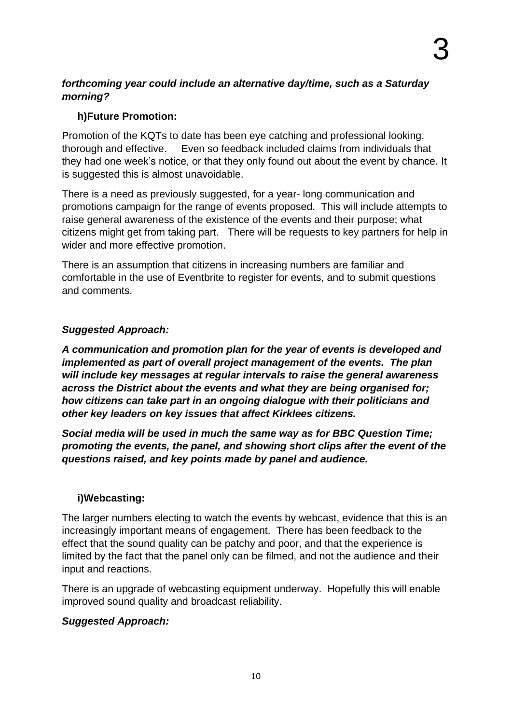#### *forthcoming year could include an alternative day/time, such as a Saturday morning?*

#### **h)Future Promotion:**

Promotion of the KQTs to date has been eye catching and professional looking, thorough and effective. Even so feedback included claims from individuals that they had one week's notice, or that they only found out about the event by chance. It is suggested this is almost unavoidable.

There is a need as previously suggested, for a year- long communication and promotions campaign for the range of events proposed. This will include attempts to raise general awareness of the existence of the events and their purpose; what citizens might get from taking part. There will be requests to key partners for help in wider and more effective promotion.

There is an assumption that citizens in increasing numbers are familiar and comfortable in the use of Eventbrite to register for events, and to submit questions and comments.

### *Suggested Approach:*

*A communication and promotion plan for the year of events is developed and implemented as part of overall project management of the events. The plan will include key messages at regular intervals to raise the general awareness across the District about the events and what they are being organised for; how citizens can take part in an ongoing dialogue with their politicians and other key leaders on key issues that affect Kirklees citizens.* 

*Social media will be used in much the same way as for BBC Question Time; promoting the events, the panel, and showing short clips after the event of the questions raised, and key points made by panel and audience.* 

#### **i)Webcasting:**

The larger numbers electing to watch the events by webcast, evidence that this is an increasingly important means of engagement. There has been feedback to the effect that the sound quality can be patchy and poor, and that the experience is limited by the fact that the panel only can be filmed, and not the audience and their input and reactions.

There is an upgrade of webcasting equipment underway. Hopefully this will enable improved sound quality and broadcast reliability.

#### *Suggested Approach:*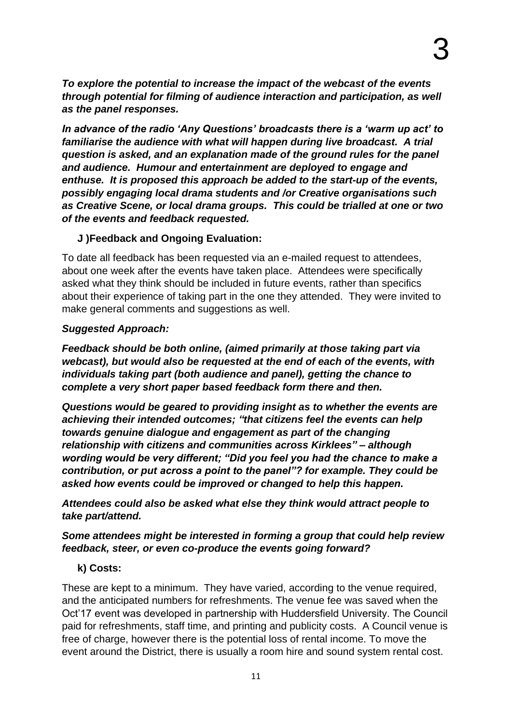*To explore the potential to increase the impact of the webcast of the events through potential for filming of audience interaction and participation, as well as the panel responses.* 

*In advance of the radio 'Any Questions' broadcasts there is a 'warm up act' to familiarise the audience with what will happen during live broadcast. A trial question is asked, and an explanation made of the ground rules for the panel and audience. Humour and entertainment are deployed to engage and enthuse. It is proposed this approach be added to the start-up of the events, possibly engaging local drama students and /or Creative organisations such as Creative Scene, or local drama groups. This could be trialled at one or two of the events and feedback requested.* 

#### **J )Feedback and Ongoing Evaluation:**

To date all feedback has been requested via an e-mailed request to attendees, about one week after the events have taken place. Attendees were specifically asked what they think should be included in future events, rather than specifics about their experience of taking part in the one they attended. They were invited to make general comments and suggestions as well.

### *Suggested Approach:*

*Feedback should be both online, (aimed primarily at those taking part via webcast), but would also be requested at the end of each of the events, with individuals taking part (both audience and panel), getting the chance to complete a very short paper based feedback form there and then.* 

*Questions would be geared to providing insight as to whether the events are achieving their intended outcomes; "that citizens feel the events can help towards genuine dialogue and engagement as part of the changing relationship with citizens and communities across Kirklees" – although wording would be very different; "Did you feel you had the chance to make a contribution, or put across a point to the panel"? for example. They could be asked how events could be improved or changed to help this happen.*

*Attendees could also be asked what else they think would attract people to take part/attend.* 

*Some attendees might be interested in forming a group that could help review feedback, steer, or even co-produce the events going forward?* 

### **k) Costs:**

These are kept to a minimum. They have varied, according to the venue required, and the anticipated numbers for refreshments. The venue fee was saved when the Oct'17 event was developed in partnership with Huddersfield University. The Council paid for refreshments, staff time, and printing and publicity costs. A Council venue is free of charge, however there is the potential loss of rental income. To move the event around the District, there is usually a room hire and sound system rental cost.